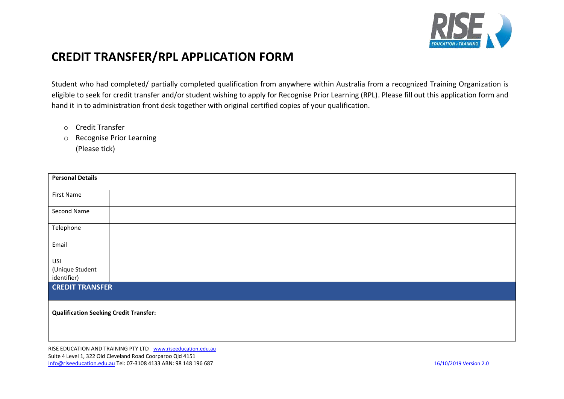

## **CREDIT TRANSFER/RPL APPLICATION FORM**

Student who had completed/ partially completed qualification from anywhere within Australia from a recognized Training Organization is eligible to seek for credit transfer and/or student wishing to apply for Recognise Prior Learning (RPL). Please fill out this application form and hand it in to administration front desk together with original certified copies of your qualification.

- o Credit Transfer
- o Recognise Prior Learning (Please tick)

| <b>Personal Details</b>                       |  |  |  |  |
|-----------------------------------------------|--|--|--|--|
| First Name                                    |  |  |  |  |
| Second Name                                   |  |  |  |  |
| Telephone                                     |  |  |  |  |
| Email                                         |  |  |  |  |
| USI                                           |  |  |  |  |
| (Unique Student                               |  |  |  |  |
| identifier)                                   |  |  |  |  |
| <b>CREDIT TRANSFER</b>                        |  |  |  |  |
| <b>Qualification Seeking Credit Transfer:</b> |  |  |  |  |
|                                               |  |  |  |  |

RISE EDUCATION AND TRAINING PTY LTD [www.riseeducation.edu.au](http://www.riseeducation.edu.au/) Suite 4 Level 1, 322 Old Cleveland Road Coorparoo Qld 4151 [Info@riseeducation.edu.au](mailto:Info@riseeducation.edu.au) Tel: 07-3108 4133 ABN: 98 148 196 687 16/10/2019 Version 2.0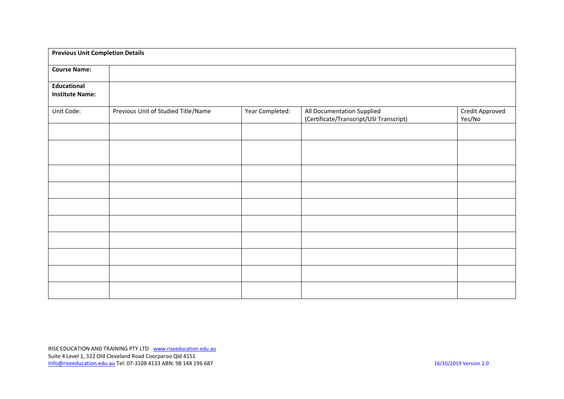| <b>Previous Unit Completion Details</b> |                                     |                 |                                                                       |                           |  |  |
|-----------------------------------------|-------------------------------------|-----------------|-----------------------------------------------------------------------|---------------------------|--|--|
| <b>Course Name:</b>                     |                                     |                 |                                                                       |                           |  |  |
| Educational<br><b>Institute Name:</b>   |                                     |                 |                                                                       |                           |  |  |
| Unit Code:                              | Previous Unit of Studied Title/Name | Year Completed: | All Documentation Supplied<br>(Certificate/Transcript/USI Transcript) | Credit Approved<br>Yes/No |  |  |
|                                         |                                     |                 |                                                                       |                           |  |  |
|                                         |                                     |                 |                                                                       |                           |  |  |
|                                         |                                     |                 |                                                                       |                           |  |  |
|                                         |                                     |                 |                                                                       |                           |  |  |
|                                         |                                     |                 |                                                                       |                           |  |  |
|                                         |                                     |                 |                                                                       |                           |  |  |
|                                         |                                     |                 |                                                                       |                           |  |  |
|                                         |                                     |                 |                                                                       |                           |  |  |
|                                         |                                     |                 |                                                                       |                           |  |  |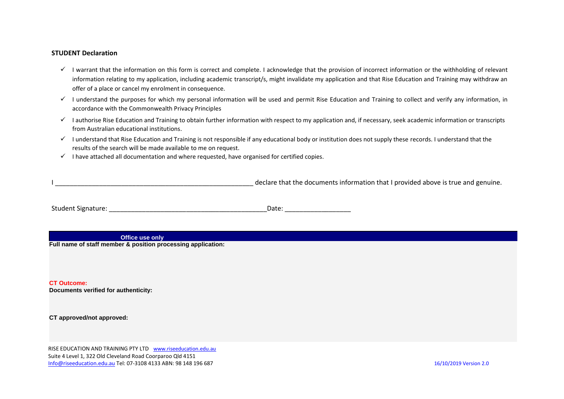## **STUDENT Declaration**

- $\checkmark$  I warrant that the information on this form is correct and complete. I acknowledge that the provision of incorrect information or the withholding of relevant information relating to my application, including academic transcript/s, might invalidate my application and that Rise Education and Training may withdraw an offer of a place or cancel my enrolment in consequence.
- $\checkmark$  I understand the purposes for which my personal information will be used and permit Rise Education and Training to collect and verify any information, in accordance with the Commonwealth Privacy Principles
- ✓ I authorise Rise Education and Training to obtain further information with respect to my application and, if necessary, seek academic information or transcripts from Australian educational institutions.
- $\checkmark$  I understand that Rise Education and Training is not responsible if any educational body or institution does not supply these records. I understand that the results of the search will be made available to me on request.
- $\checkmark$  I have attached all documentation and where requested, have organised for certified copies.

declare that the documents information that I provided above is true and genuine.

| <b>Student Signature:</b> | Date. |
|---------------------------|-------|
|---------------------------|-------|

**Office use only**

**Full name of staff member & position processing application:**

**CT Outcome: Documents verified for authenticity:**

**CT approved/not approved:**

RISE EDUCATION AND TRAINING PTY LTD [www.riseeducation.edu.au](http://www.riseeducation.edu.au/) Suite 4 Level 1, 322 Old Cleveland Road Coorparoo Qld 4151 [Info@riseeducation.edu.au](mailto:Info@riseeducation.edu.au) Tel: 07-3108 4133 ABN: 98 148 196 687 16/10/2019 Version 2.0